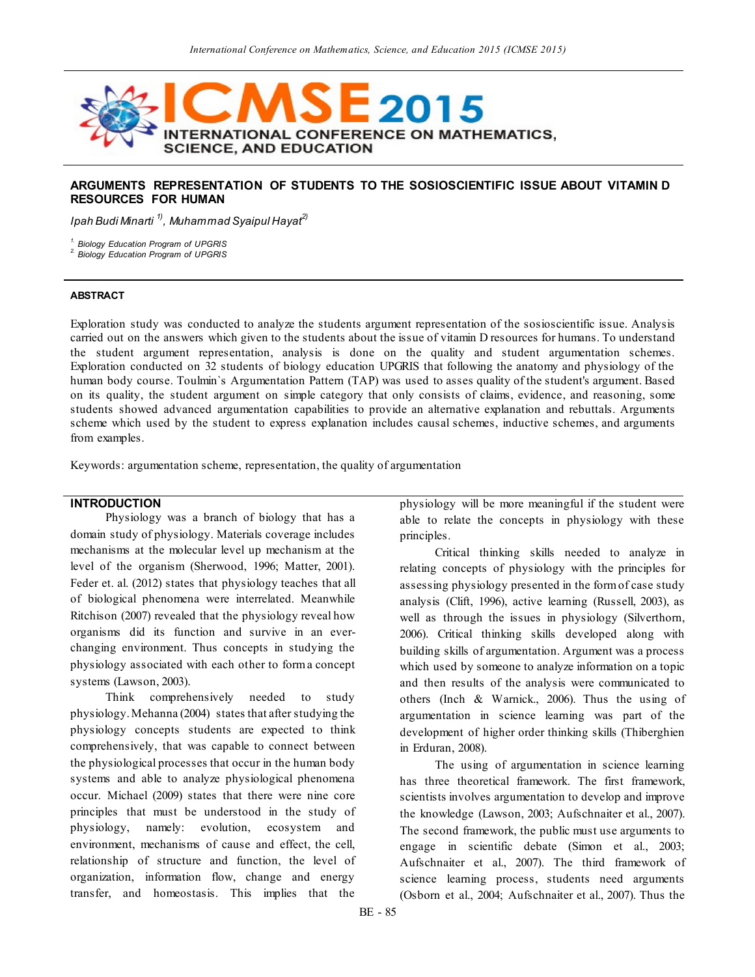

### **ARGUMENTS REPRESENTATION OF STUDENTS TO THE SOSIOSCIENTIFIC ISSUE ABOUT VITAMIN D RESOURCES FOR HUMAN**

*Ipah Budi Minarti 1), Muhammad Syaipul Hayat2)*

*1. Biology Education Program of UPGRIS 2. Biology Education Program of UPGRIS*

### **ABSTRACT**

Exploration study was conducted to analyze the students argument representation of the sosioscientific issue. Analysis carried out on the answers which given to the students about the issue of vitamin D resources for humans. To understand the student argument representation, analysis is done on the quality and student argumentation schemes. Exploration conducted on 32 students of biology education UPGRIS that following the anatomy and physiology of the human body course. Toulmin`s Argumentation Pattern (TAP) was used to asses quality of the student's argument. Based on its quality, the student argument on simple category that only consists of claims, evidence, and reasoning, some students showed advanced argumentation capabilities to provide an alternative explanation and rebuttals. Arguments scheme which used by the student to express explanation includes causal schemes, inductive schemes, and arguments from examples.

Keywords: argumentation scheme, representation, the quality of argumentation

# **INTRODUCTION**

Physiology was a branch of biology that has a domain study of physiology. Materials coverage includes mechanisms at the molecular level up mechanism at the level of the organism (Sherwood, 1996; Matter, 2001). Feder et. al. (2012) states that physiology teaches that all of biological phenomena were interrelated. Meanwhile Ritchison (2007) revealed that the physiology reveal how organisms did its function and survive in an everchanging environment. Thus concepts in studying the physiology associated with each other to form a concept systems (Lawson, 2003).

Think comprehensively needed to study physiology. Mehanna (2004) states that after studying the physiology concepts students are expected to think comprehensively, that was capable to connect between the physiological processes that occur in the human body systems and able to analyze physiological phenomena occur. Michael (2009) states that there were nine core principles that must be understood in the study of physiology, namely: evolution, ecosystem and environment, mechanisms of cause and effect, the cell, relationship of structure and function, the level of organization, information flow, change and energy transfer, and homeostasis. This implies that the

physiology will be more meaningful if the student were able to relate the concepts in physiology with these principles.

Critical thinking skills needed to analyze in relating concepts of physiology with the principles for assessing physiology presented in the form of case study analysis (Clift, 1996), active learning (Russell, 2003), as well as through the issues in physiology (Silverthorn, 2006). Critical thinking skills developed along with building skills of argumentation. Argument was a process which used by someone to analyze information on a topic and then results of the analysis were communicated to others (Inch & Warnick., 2006). Thus the using of argumentation in science learning was part of the development of higher order thinking skills (Thiberghien in Erduran, 2008).

The using of argumentation in science learning has three theoretical framework. The first framework, scientists involves argumentation to develop and improve the knowledge (Lawson, 2003; Aufschnaiter et al., 2007). The second framework, the public must use arguments to engage in scientific debate (Simon et al., 2003; Aufschnaiter et al., 2007). The third framework of science learning process, students need arguments (Osborn et al., 2004; Aufschnaiter et al., 2007). Thus the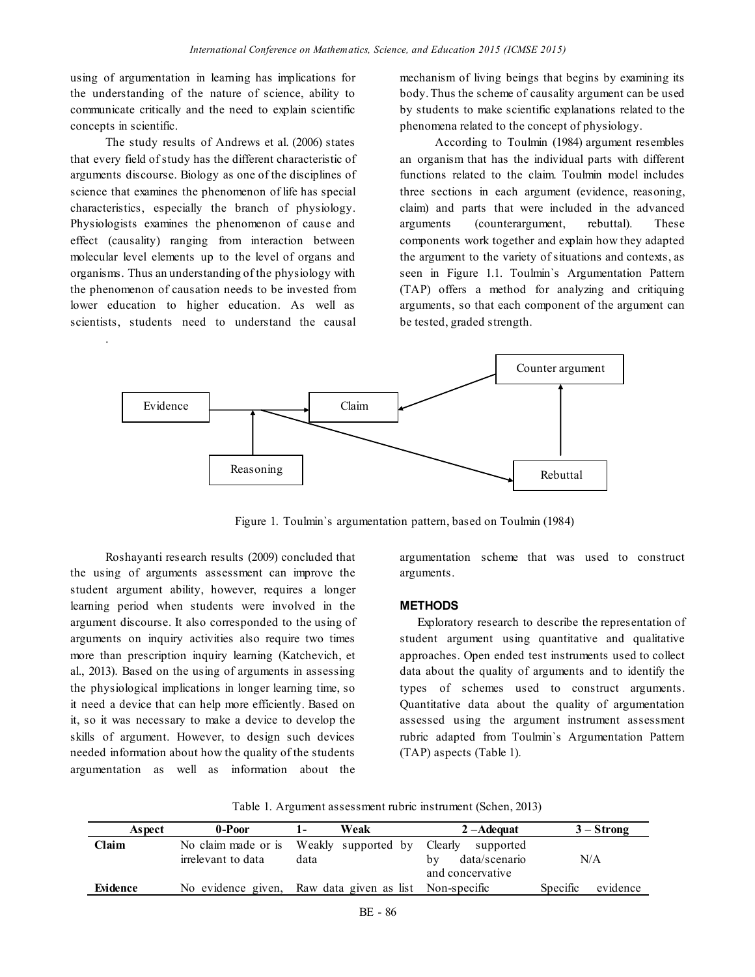using of argumentation in learning has implications for the understanding of the nature of science, ability to communicate critically and the need to explain scientific concepts in scientific.

The study results of Andrews et al. (2006) states that every field of study has the different characteristic of arguments discourse. Biology as one of the disciplines of science that examines the phenomenon of life has special characteristics, especially the branch of physiology. Physiologists examines the phenomenon of cause and effect (causality) ranging from interaction between molecular level elements up to the level of organs and organisms. Thus an understanding of the physiology with the phenomenon of causation needs to be invested from lower education to higher education. As well as scientists, students need to understand the causal

.

mechanism of living beings that begins by examining its body.Thus the scheme of causality argument can be used by students to make scientific explanations related to the phenomena related to the concept of physiology.

According to Toulmin (1984) argument resembles an organism that has the individual parts with different functions related to the claim. Toulmin model includes three sections in each argument (evidence, reasoning, claim) and parts that were included in the advanced arguments (counterargument, rebuttal). These components work together and explain how they adapted the argument to the variety of situations and contexts, as seen in Figure 1.1. Toulmin`s Argumentation Pattern (TAP) offers a method for analyzing and critiquing arguments, so that each component of the argument can be tested, graded strength.



Figure 1. Toulmin`s argumentation pattern, based on Toulmin (1984)

Roshayanti research results (2009) concluded that the using of arguments assessment can improve the student argument ability, however, requires a longer learning period when students were involved in the argument discourse. It also corresponded to the using of arguments on inquiry activities also require two times more than prescription inquiry learning (Katchevich, et al., 2013). Based on the using of arguments in assessing the physiological implications in longer learning time, so it need a device that can help more efficiently. Based on it, so it was necessary to make a device to develop the skills of argument. However, to design such devices needed information about how the quality of the students argumentation as well as information about the

argumentation scheme that was used to construct arguments.

#### **METHODS**

Exploratory research to describe the representation of student argument using quantitative and qualitative approaches. Open ended test instruments used to collect data about the quality of arguments and to identify the types of schemes used to construct arguments. Quantitative data about the quality of argumentation assessed using the argument instrument assessment rubric adapted from Toulmin`s Argumentation Pattern (TAP) aspects (Table 1).

| Table 1. Argument assessment rubric instrument (Schen, 2013) |  |  |
|--------------------------------------------------------------|--|--|
|                                                              |  |  |

| Aspect   | 0-Poor              | Weak                                                   | 2 – Adequat         | $3 -$ Strong         |
|----------|---------------------|--------------------------------------------------------|---------------------|----------------------|
| Claim    | No claim made or is | Weakly supported by Clearly                            | supported           |                      |
|          | irrelevant to data  | data                                                   | data/scenario<br>bv | N/A                  |
|          |                     |                                                        | and concervative    |                      |
| Evidence |                     | No evidence given, Raw data given as list Non-specific |                     | Specific<br>evidence |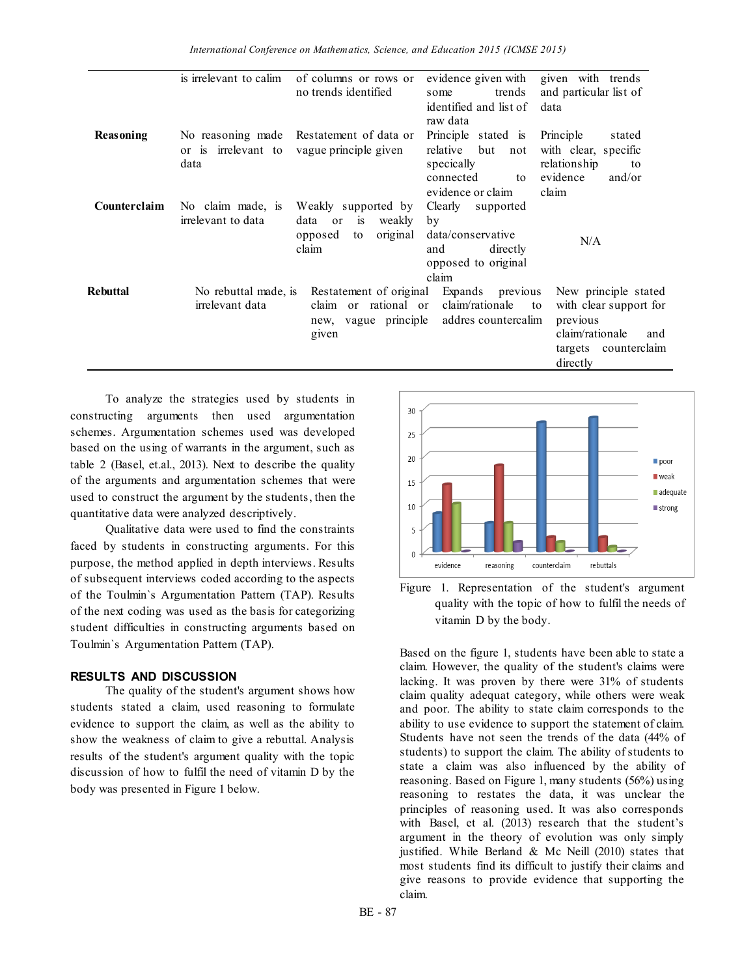|                  | is irrelevant to calim                  | of columns or rows or<br>no trends identified                                           | evidence given with<br>trends<br>some                                                               | given with trends<br>and particular list of                                                                                 |
|------------------|-----------------------------------------|-----------------------------------------------------------------------------------------|-----------------------------------------------------------------------------------------------------|-----------------------------------------------------------------------------------------------------------------------------|
|                  |                                         |                                                                                         | identified and list of<br>raw data                                                                  | data                                                                                                                        |
| <b>Reasoning</b> | data                                    | No reasoning made Restatement of data or<br>or is irrelevant to vague principle given   | Principle stated is<br>relative<br>but<br>not<br>specically<br>connected<br>to<br>evidence or claim | Principle<br>stated<br>with clear, specific<br>relationship<br>to<br>and/or<br>evidence<br>claim                            |
| Counterclaim     | No claim made, is<br>irrelevant to data | Weakly supported by<br>is<br>data<br>or<br>weakly<br>original<br>opposed<br>to<br>claim | Clearly<br>supported<br>by<br>data/conservative<br>directly<br>and<br>opposed to original<br>claim  | N/A                                                                                                                         |
| <b>Rebuttal</b>  | No rebuttal made, is<br>irrelevant data | Restatement of original<br>claim or rational or<br>new, vague principle<br>given        | Expands previous<br>claim/rationale<br>to<br>addres countercalim                                    | New principle stated<br>with clear support for<br>previous<br>claim/rationale<br>and<br>counterclaim<br>targets<br>directly |

To analyze the strategies used by students in constructing arguments then used argumentation schemes. Argumentation schemes used was developed based on the using of warrants in the argument, such as table 2 (Basel, et.al., 2013). Next to describe the quality of the arguments and argumentation schemes that were used to construct the argument by the students, then the quantitative data were analyzed descriptively.

Qualitative data were used to find the constraints faced by students in constructing arguments. For this purpose, the method applied in depth interviews. Results of subsequent interviews coded according to the aspects of the Toulmin`s Argumentation Pattern (TAP). Results of the next coding was used as the basis for categorizing student difficulties in constructing arguments based on Toulmin`s Argumentation Pattern (TAP).

### **RESULTS AND DISCUSSION**

The quality of the student's argument shows how students stated a claim, used reasoning to formulate evidence to support the claim, as well as the ability to show the weakness of claim to give a rebuttal. Analysis results of the student's argument quality with the topic discussion of how to fulfil the need of vitamin D by the body was presented in Figure 1 below.



Figure 1. Representation of the student's argument quality with the topic of how to fulfil the needs of vitamin D by the body.

Based on the figure 1, students have been able to state a claim. However, the quality of the student's claims were lacking. It was proven by there were 31% of students claim quality adequat category, while others were weak and poor. The ability to state claim corresponds to the ability to use evidence to support the statement of claim. Students have not seen the trends of the data (44% of students) to support the claim. The ability of students to state a claim was also influenced by the ability of reasoning. Based on Figure 1, many students (56%) using reasoning to restates the data, it was unclear the principles of reasoning used. It was also corresponds with Basel, et al. (2013) research that the student's argument in the theory of evolution was only simply justified. While Berland & Mc Neill (2010) states that most students find its difficult to justify their claims and give reasons to provide evidence that supporting the claim.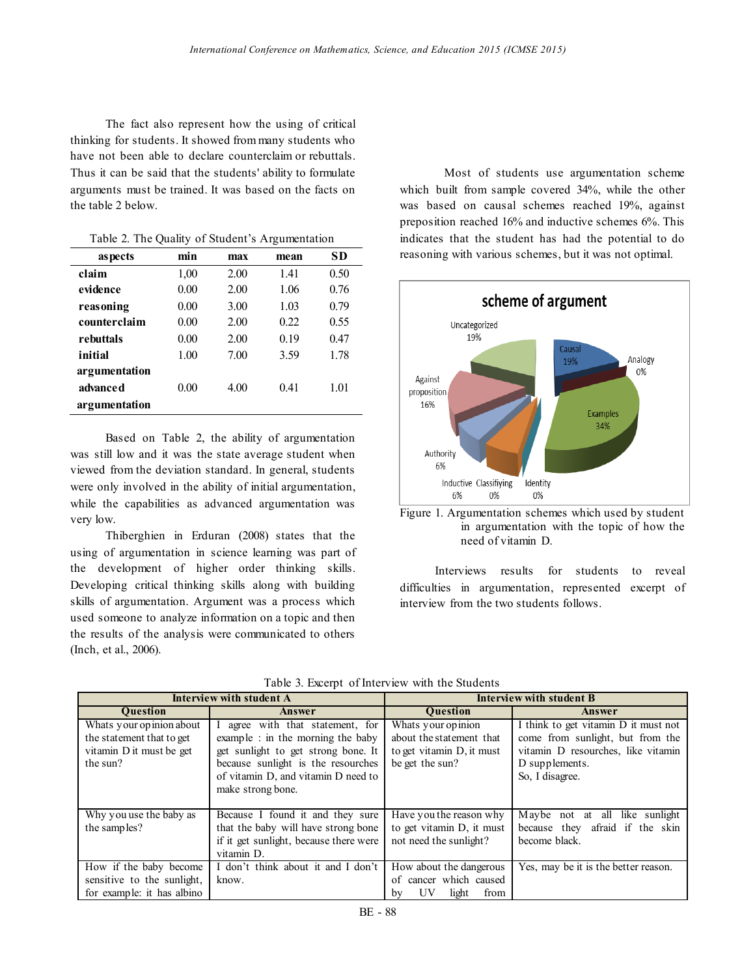The fact also represent how the using of critical thinking for students. It showed from many students who have not been able to declare counterclaim or rebuttals. Thus it can be said that the students' ability to formulate arguments must be trained. It was based on the facts on the table 2 below.

| as pects      | min  | max  | mean | SD   |
|---------------|------|------|------|------|
| claim         | 1,00 | 2.00 | 141  | 0.50 |
| evidence      | 0.00 | 2.00 | 1.06 | 0.76 |
| reasoning     | 0.00 | 3.00 | 1.03 | 0.79 |
| counterclaim  | 0.00 | 2.00 | 0.22 | 0.55 |
| rebuttals     | 0.00 | 2.00 | 0.19 | 0.47 |
| initial       | 1.00 | 7.00 | 3.59 | 1.78 |
| argumentation |      |      |      |      |
| advanced      | 0.00 | 4.00 | 0.41 | 1.01 |
| argumentation |      |      |      |      |

Table 2. The Quality of Student's Argumentation

Based on Table 2, the ability of argumentation was still low and it was the state average student when viewed from the deviation standard. In general, students were only involved in the ability of initial argumentation, while the capabilities as advanced argumentation was very low.

Thiberghien in Erduran (2008) states that the using of argumentation in science learning was part of the development of higher order thinking skills. Developing critical thinking skills along with building skills of argumentation. Argument was a process which used someone to analyze information on a topic and then the results of the analysis were communicated to others (Inch, et al., 2006).

Most of students use argumentation scheme which built from sample covered 34%, while the other was based on causal schemes reached 19%, against preposition reached 16% and inductive schemes 6%. This indicates that the student has had the potential to do reasoning with various schemes, but it was not optimal.





Interviews results for students to reveal difficulties in argumentation, represented excerpt of interview from the two students follows.

|  |  |  |  | Table 3. Excerpt of Interview with the Students |
|--|--|--|--|-------------------------------------------------|
|--|--|--|--|-------------------------------------------------|

| Interview with student A                                                                      |                                                                                                                                                                                                              | Interview with student B                                                                       |                                                                                                                                                     |  |
|-----------------------------------------------------------------------------------------------|--------------------------------------------------------------------------------------------------------------------------------------------------------------------------------------------------------------|------------------------------------------------------------------------------------------------|-----------------------------------------------------------------------------------------------------------------------------------------------------|--|
| <b>Ouestion</b>                                                                               | Answer                                                                                                                                                                                                       | <b>Ouestion</b>                                                                                | Answer                                                                                                                                              |  |
| Whats your opinion about<br>the statement that to get<br>vitamin D it must be get<br>the sun? | agree with that statement, for<br>example : in the morning the baby<br>get sunlight to get strong bone. It<br>because sunlight is the resourches<br>of vitamin D, and vitamin D need to<br>make strong bone. | Whats your opinion<br>about the statement that<br>to get vitamin D, it must<br>be get the sun? | I think to get vitamin D it must not<br>come from sunlight, but from the<br>vitamin D resourches, like vitamin<br>D supplements.<br>So, I disagree. |  |
| Why you use the baby as<br>the samples?                                                       | Because I found it and they sure<br>that the baby will have strong bone<br>if it get sunlight, because there were<br>vitamin D.                                                                              | Have you the reason why<br>to get vitamin D, it must<br>not need the sunlight?                 | all like sunlight<br>Maybe not at<br>afraid if the skin<br>because they<br>become black.                                                            |  |
| How if the baby become<br>sensitive to the sunlight.<br>for example: it has albino            | I don't think about it and I don't<br>know.                                                                                                                                                                  | How about the dangerous<br>of cancer which caused<br>UV<br>from<br>light<br>bv                 | Yes, may be it is the better reason.                                                                                                                |  |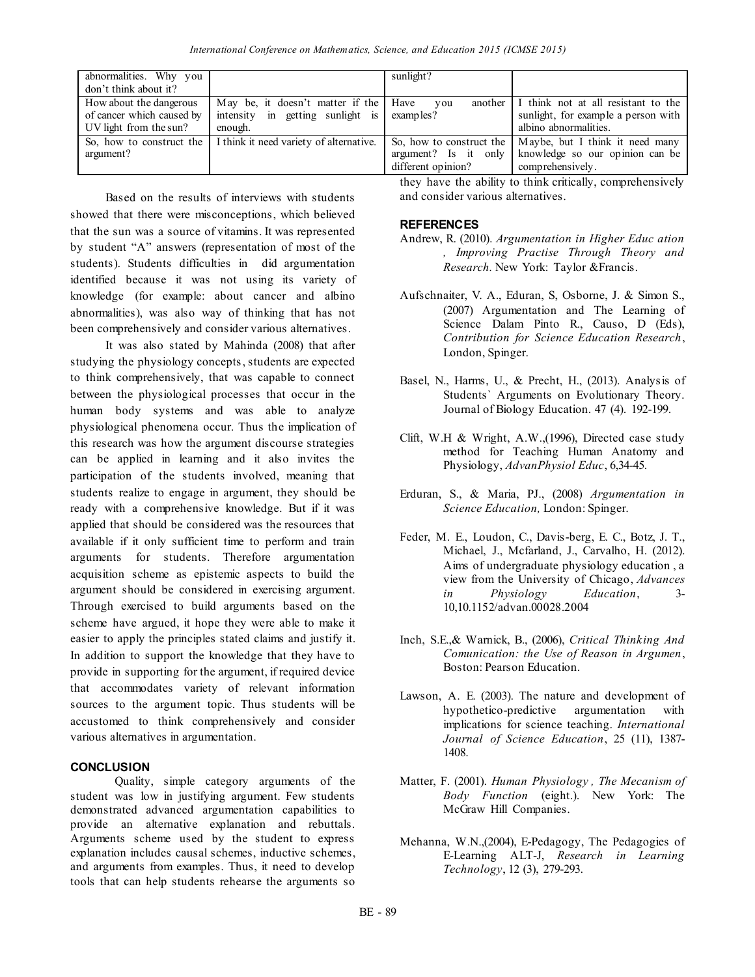| abnormalities. Why you<br>don't think about it?                                |                                                                                 | sunlight?                |                                                                                                                                          |
|--------------------------------------------------------------------------------|---------------------------------------------------------------------------------|--------------------------|------------------------------------------------------------------------------------------------------------------------------------------|
| How about the dangerous<br>of cancer which caused by<br>UV light from the sun? | May be, it doesn't matter if the<br>intensity in getting sunlight is<br>enough. | Have<br>vou<br>examples? | another $\parallel$ I think not at all resistant to the<br>sunlight, for example a person with<br>albino abnormalities.                  |
| So, how to construct the<br>argument?                                          | I think it need variety of alternative.                                         | different opinion?       | So, how to construct the   Maybe, but I think it need many<br>argument? Is it only   knowledge so our opinion can be<br>comprehensively. |

Based on the results of interviews with students showed that there were misconceptions, which believed that the sun was a source of vitamins. It was represented by student "A" answers (representation of most of the students). Students difficulties in did argumentation identified because it was not using its variety of knowledge (for example: about cancer and albino abnormalities), was also way of thinking that has not been comprehensively and consider various alternatives.

It was also stated by Mahinda (2008) that after studying the physiology concepts, students are expected to think comprehensively, that was capable to connect between the physiological processes that occur in the human body systems and was able to analyze physiological phenomena occur. Thus the implication of this research was how the argument discourse strategies can be applied in learning and it also invites the participation of the students involved, meaning that students realize to engage in argument, they should be ready with a comprehensive knowledge. But if it was applied that should be considered was the resources that available if it only sufficient time to perform and train arguments for students. Therefore argumentation acquisition scheme as epistemic aspects to build the argument should be considered in exercising argument. Through exercised to build arguments based on the scheme have argued, it hope they were able to make it easier to apply the principles stated claims and justify it. In addition to support the knowledge that they have to provide in supporting for the argument, if required device that accommodates variety of relevant information sources to the argument topic. Thus students will be accustomed to think comprehensively and consider various alternatives in argumentation.

## **CONCLUSION**

Quality, simple category arguments of the student was low in justifying argument. Few students demonstrated advanced argumentation capabilities to provide an alternative explanation and rebuttals. Arguments scheme used by the student to express explanation includes causal schemes, inductive schemes, and arguments from examples. Thus, it need to develop tools that can help students rehearse the arguments so

they have the ability to think critically, comprehensively and consider various alternatives.

# **REFERENCES**

- Andrew, R. (2010). *Argumentation in Higher Educ ation , Improving Practise Through Theory and Research.* New York: Taylor &Francis.
- Aufschnaiter, V. A., Eduran, S, Osborne, J. & Simon S., (2007) Argumentation and The Learning of Science Dalam Pinto R., Causo, D (Eds), *Contribution for Science Education Research*, London, Spinger.
- Basel, N., Harms, U., & Precht, H., (2013). Analysis of Students` Arguments on Evolutionary Theory. Journal of Biology Education. 47 (4). 192-199.
- Clift, W.H & Wright, A.W.,(1996), Directed case study method for Teaching Human Anatomy and Physiology, *AdvanPhysiol Educ*, 6,34-45.
- Erduran, S., & Maria, PJ., (2008) *Argumentation in Science Education,* London: Spinger.
- Feder, M. E., Loudon, C., Davis-berg, E. C., Botz, J. T., Michael, J., Mcfarland, J., Carvalho, H. (2012). Aims of undergraduate physiology education , a view from the University of Chicago, *Advances in Physiology Education*, 3- 10,10.1152/advan.00028.2004
- Inch, S.E.,& Warnick, B., (2006), *Critical Thinking And Comunication: the Use of Reason in Argumen*, Boston: Pearson Education.
- Lawson, A. E. (2003). The nature and development of hypothetico-predictive argumentation with implications for science teaching. *International Journal of Science Education*, 25 (11), 1387- 1408.
- Matter, F. (2001). *Human Physiology , The Mecanism of Body Function* (eight.). New York: The McGraw Hill Companies.
- [Mehanna, W.N.](http://www.eric.ed.gov/ERICWebPortal/Home.portal?_nfpb=true&_pageLabel=ERICSearchResult&_urlType=action&newSearch=true&ERICExtSearch_SearchType_0=au&ERICExtSearch_SearchValue_0=%22Mehanna+Wassila+Naamani%22),(2004), [E-Pedagogy, The Pedagogies of](http://www.eric.ed.gov/ERICWebPortal/Home.portal?_nfpb=true&ERICExtSearch_SearchValue_0=pedagogic+e-learning&searchtype=basic&ERICExtSearch_SearchType_0=kw&pageSize=10&eric_displayNtriever=false&eric_displayStartCount=11&_pageLabel=RecordDetails&objectId=0900019b803867ef&accno=EJ821507&_nfls=false%20%20%20%20)  [E-Learning](http://www.eric.ed.gov/ERICWebPortal/Home.portal?_nfpb=true&ERICExtSearch_SearchValue_0=pedagogic+e-learning&searchtype=basic&ERICExtSearch_SearchType_0=kw&pageSize=10&eric_displayNtriever=false&eric_displayStartCount=11&_pageLabel=RecordDetails&objectId=0900019b803867ef&accno=EJ821507&_nfls=false%20%20%20%20) ALT-J, *Research in Learning Technology*, 12 (3), 279-293.